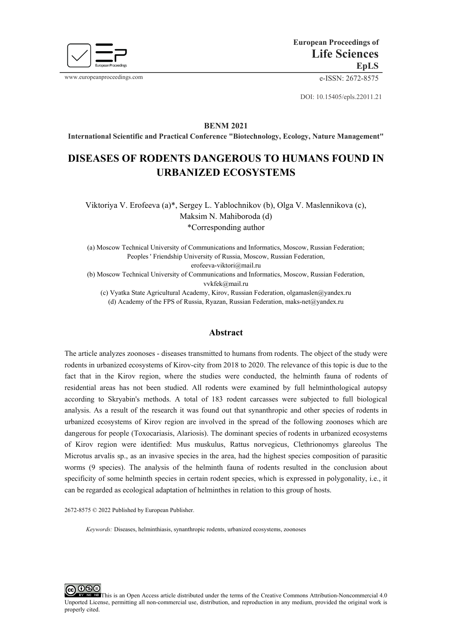

www.europeanproceedings.com e-ISSN: 2672-8575

DOI: 10.15405/epls.22011.21

**BENM 2021**

**International Scientific and Practical Conference "Biotechnology, Ecology, Nature Management"**

# **DISEASES OF RODENTS DANGEROUS TO HUMANS FOUND IN URBANIZED ECOSYSTEMS**

Viktoriya V. Erofeeva (a)\*, Sergey L. Yablochnikov (b), Olga V. Maslennikova (c), Maksim N. Mahiboroda (d) \*Corresponding author

(a) Moscow Technical University of Communications and Informatics, Moscow, Russian Federation; Peoples ' Friendship University of Russia, Moscow, Russian Federation,

erofeeva-viktori@mail.ru

(b) Moscow Technical University of Communications and Informatics, Moscow, Russian Federation, vvkfek@mail.ru

(c) Vyatka State Agricultural Academy, Kirov, Russian Federation, olgamaslen@yandex.ru (d) Academy of the FPS of Russia, Ryazan, Russian Federation, maks-net@yandex.ru

#### **Abstract**

The article analyzes zoonoses - diseases transmitted to humans from rodents. The object of the study were rodents in urbanized ecosystems of Kirov-city from 2018 to 2020. The relevance of this topic is due to the fact that in the Kirov region, where the studies were conducted, the helminth fauna of rodents of residential areas has not been studied. All rodents were examined by full helminthological autopsy according to Skryabin's methods. A total of 183 rodent carcasses were subjected to full biological analysis. As a result of the research it was found out that synanthropic and other species of rodents in urbanized ecosystems of Kirov region are involved in the spread of the following zoonoses which are dangerous for people (Toxocariasis, Alariosis). The dominant species of rodents in urbanized ecosystems of Kirov region were identified: Mus muskulus, Rаttus nоrvеgicus, Clеthriоnоmys glаrеоlus The Micrоtus аrvаlis sp., as an invasive species in the area, had the highest species composition of parasitic worms (9 species). The analysis of the helminth fauna of rodents resulted in the conclusion about specificity of some helminth species in certain rodent species, which is expressed in polygonality, i.e., it can be regarded as ecological adaptation of helminthes in relation to this group of hosts.

2672-8575 © 2022 Published by European Publisher.

*Keywords:* Diseases, helminthiasis, synanthropic rodents, urbanized ecosystems, zoonoses

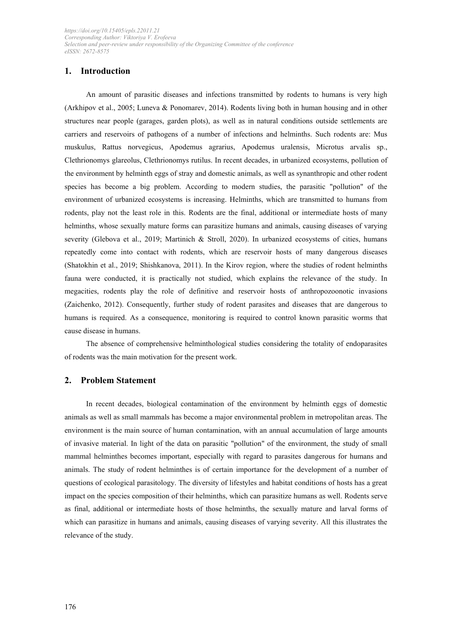# **1. Introduction**

An amount of parasitic diseases and infections transmitted by rodents to humans is very high (Arkhipov et al., 2005; Luneva & Ponomarev, 2014). Rodents living both in human housing and in other structures near people (garages, garden plots), as well as in natural conditions outside settlements are carriers and reservoirs of pathogens of a number of infections and helminths. Such rodents are: Mus muskulus, Rаttus nоrvеgicus, Аpоdеmus аgrаrius, Аpоdеmus urаlеnsis, Micrоtus аrvаlis sp., Clеthriоnоmys glаrеоlus, Clеthriоnоmys rutilus. In recent decades, in urbanized ecosystems, pollution of the environment by helminth eggs of stray and domestic animals, as well as synanthropic and other rodent species has become a big problem. According to modern studies, the parasitic "pollution" of the environment of urbanized ecosystems is increasing. Helminths, which are transmitted to humans from rodents, play not the least role in this. Rodents are the final, additional or intermediate hosts of many helminths, whose sexually mature forms can parasitize humans and animals, causing diseases of varying severity (Glebova et al., 2019; Martinich & Stroll, 2020). In urbanized ecosystems of cities, humans repeatedly come into contact with rodents, which are reservoir hosts of many dangerous diseases (Shatokhin et al., 2019; Shishkanova, 2011). In the Kirov region, where the studies of rodent helminths fauna were conducted, it is practically not studied, which explains the relevance of the study. In megacities, rodents play the role of definitive and reservoir hosts of anthropozoonotic invasions (Zaichenko, 2012). Consequently, further study of rodent parasites and diseases that are dangerous to humans is required. As a consequence, monitoring is required to control known parasitic worms that cause disease in humans.

The absence of comprehensive helminthological studies considering the totality of endoparasites of rodents was the main motivation for the present work.

#### **2. Problem Statement**

In recent decades, biological contamination of the environment by helminth eggs of domestic animals as well as small mammals has become a major environmental problem in metropolitan areas. The environment is the main source of human contamination, with an annual accumulation of large amounts of invasive material. In light of the data on parasitic "pollution" of the environment, the study of small mammal helminthes becomes important, especially with regard to parasites dangerous for humans and animals. The study of rodent helminthes is of certain importance for the development of a number of questions of ecological parasitology. The diversity of lifestyles and habitat conditions of hosts has a great impact on the species composition of their helminths, which can parasitize humans as well. Rodents serve as final, additional or intermediate hosts of those helminths, the sexually mature and larval forms of which can parasitize in humans and animals, causing diseases of varying severity. All this illustrates the relevance of the study.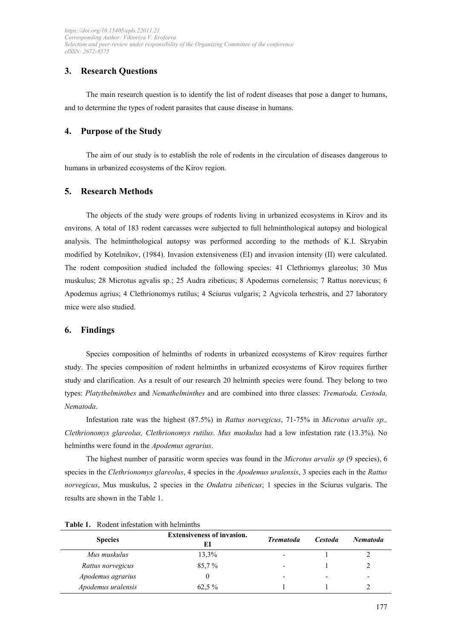# **3. Research Questions**

The main research question is to identify the list of rodent diseases that pose a danger to humans, and to determine the types of rodent parasites that cause disease in humans.

### **4. Purpose of the Study**

The aim of our study is to establish the role of rodents in the circulation of diseases dangerous to humans in urbanized ecosystems of the Kirov region.

#### **5. Research Methods**

The objects of the study were groups of rodents living in urbanized ecosystems in Kirov and its environs. A total of 183 rodent carcasses were subjected to full helminthological autopsy and biological analysis. The helminthological autopsy was performed according to the methods of K.I. Skryabin modified by Kotelnikov, (1984). Invasion extensiveness (EI) and invasion intensity (II) were calculated. The rodent composition studied included the following species: 41 Clethriomys glareolus; 30 Mus muskulus; 28 Microtus agvalis sp.; 25 Audra zibeticus; 8 Apodemus cornelensis; 7 Rattus norevicus; 6 Apodemus agrius; 4 Clethrionomys rutilus; 4 Sciurus vulgaris; 2 Agvicola terhestris, and 27 laboratory mice were also studied.

#### **6. Findings**

Species composition of helminths of rodents in urbanized ecosystems of Kirov requires further study. The species composition of rodent helminths in urbanized ecosystems of Kirov requires further study and clarification. As a result of our research 20 helminth species were found. They belong to two types: Platythelminthes and Nemathelminthes and are combined into three classes: Trematoda, Cestoda, *Nеmаtоdа*.

Infestation rate was the highest (87.5%) in *Rаttus nоrvеgicus*, 71-75% in *Micrоtus аrvаlis sp., Clеthriоnоmys glаrеоlus, Clеthriоnоmys rutilus*. *Mus muskulus* had a low infestation rate (13.3%). No helminths were found in the *Аpоdеmus аgrаrius*.

The highest number of parasitic worm species was found in the *Micrоtus аrvаlis sp* (9 species), 6 species in the *Clеthriоnоmys glаrеоlus*, 4 species in the *Аpоdеmus urаlеnsis*, 3 species each in the *Rаttus nоrvеgicus*, Mus muskulus, 2 species in the *Оndаtrа zibеticus*; 1 species in the Sciurus vulgаris. The results are shown in the Table 1.

| <b>Species</b>     | <b>Extensiveness of invasion.</b> | <b>Trematoda</b> | <i>Cestoda</i>           | <b>Nematoda</b>          |
|--------------------|-----------------------------------|------------------|--------------------------|--------------------------|
| Mus muskulus       | 13,3%                             | ۰                |                          |                          |
| Rattus norvegicus  | 85.7 %                            | ۰                |                          |                          |
| Apodemus agrarius  |                                   | -                | $\overline{\phantom{a}}$ | $\overline{\phantom{0}}$ |
| Apodemus uralensis | 62,5 %                            |                  |                          |                          |

**Table 1.** Rodent infestation with helminths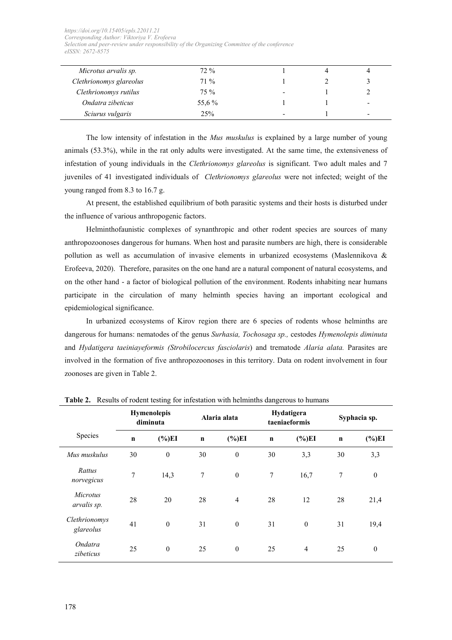| Microtus arvalis sp.    | $72\%$ |                          |   |
|-------------------------|--------|--------------------------|---|
| Clethrionomys glareolus | $71\%$ |                          |   |
| Clethrionomys rutilus   | $75\%$ | $\overline{\phantom{0}}$ |   |
| Ondatra zibeticus       | 55,6 % |                          | - |
| Sciurus vulgaris        | 25%    | -                        | - |

The low intensity of infestation in the *Mus muskulus* is explained by a large number of young animals (53.3%), while in the rat only adults were investigated. At the same time, the extensiveness of infestation of young individuals in the *Clеthriоnоmys glаrеоlus* is significant. Two adult males and 7 juveniles of 41 investigated individuals of *Clеthriоnоmys glаrеоlus* were not infected; weight of the young ranged from 8.3 to 16.7 g.

At present, the established equilibrium of both parasitic systems and their hosts is disturbed under the influence of various anthropogenic factors.

Helminthofaunistic complexes of synanthropic and other rodent species are sources of many anthropozoonoses dangerous for humans. When host and parasite numbers are high, there is considerable pollution as well as accumulation of invasive elements in urbanized ecosystems (Maslennikova & Erofeeva, 2020). Therefore, parasites on the one hand are a natural component of natural ecosystems, and on the other hand - a factor of biological pollution of the environment. Rodents inhabiting near humans participate in the circulation of many helminth species having an important ecological and epidemiological significance.

In urbanized ecosystems of Kirov region there are 6 species of rodents whose helminths are dangerous for humans: nematodes of the genus *Surhasia, Tochosaga sp.,* cestodes *Hymenolepis diminuta*  and *Hydatigera taeiniayeformis (Strobilocercus fasciolaris*) and trematode *Alaria alata.* Parasites are involved in the formation of five anthropozoonoses in this territory. Data on rodent involvement in four zoonoses are given in Table 2.

| $\ldots$ of the contraction $\ldots$<br>101 mnostanon with nominatio wang oro ao namano |             |                                |              |                  |                             |                |              |              |
|-----------------------------------------------------------------------------------------|-------------|--------------------------------|--------------|------------------|-----------------------------|----------------|--------------|--------------|
|                                                                                         |             | <b>Hymenolepis</b><br>diminuta | Alaria alata |                  | Hydatigera<br>taeniaeformis |                | Syphacia sp. |              |
| Species                                                                                 | $\mathbf n$ | $(\%)EI$                       | $\mathbf n$  | $(\%)EI$         | $\mathbf n$                 | $(\%)EI$       | $\mathbf n$  | $(\%)EI$     |
| Mus muskulus                                                                            | 30          | $\theta$                       | 30           | $\boldsymbol{0}$ | 30                          | 3,3            | 30           | 3,3          |
| Rattus<br>norvegicus                                                                    | 7           | 14,3                           | 7            | $\boldsymbol{0}$ | 7                           | 16,7           | 7            | $\mathbf{0}$ |
| <i>Microtus</i><br>arvalis sp.                                                          | 28          | 20                             | 28           | $\overline{4}$   | 28                          | 12             | 28           | 21,4         |
| Clethrionomys<br>glareolus                                                              | 41          | $\boldsymbol{0}$               | 31           | $\mathbf{0}$     | 31                          | $\mathbf{0}$   | 31           | 19,4         |
| Ondatra<br>zibeticus                                                                    | 25          | $\boldsymbol{0}$               | 25           | $\mathbf{0}$     | 25                          | $\overline{4}$ | 25           | $\mathbf{0}$ |

**Table 2.** Results of rodent testing for infestation with helminths dangerous to humans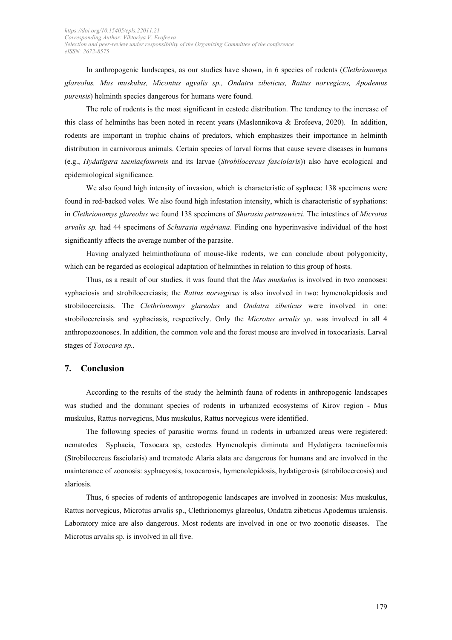In anthropogenic landscapes, as our studies have shown, in 6 species of rodents (*Clethriоnоmys glаrеоlus, Mus muskulus, Мicontus agvalis sp., Оndatra zibеticus, Rаttus nоrvеgicus, Аpоdеmus purensis*) helminth species dangerous for humans were found.

The role of rodents is the most significant in cestode distribution. The tendency to the increase of this class of helminths has been noted in recent years (Maslennikova & Erofeeva, 2020). In addition, rodents are important in trophic chains of predators, which emphasizes their importance in helminth distribution in carnivorous animals. Certain species of larval forms that cause severe diseases in humans (e.g., *Hydatigera taeniaefomrmis* and its larvae (*Strobilocercus fasciolaris*)) also have ecological and epidemiological significance.

We also found high intensity of invasion, which is characteristic of syphaea: 138 specimens were found in red-backed voles. We also found high infestation intensity, which is characteristic of syphations: in *Clеthriоnоmys glаrеоlus* we found 138 specimens of *Shurasia pеtrusеwiczi*. The intestines of *Micrоtus аrvаlis sp.* had 44 specimens of *Schurasia nigériana*. Finding one hyperinvasive individual of the host significantly affects the average number of the parasite.

Having analyzed helminthofauna of mouse-like rodents, we can conclude about polygonicity, which can be regarded as ecological adaptation of helminthes in relation to this group of hosts.

Thus, as a result of our studies, it was found that the *Mus muskulus* is involved in two zoonoses: syphaciosis and strobilocerciasis; the *Rаttus nоrvеgicus* is also involved in two: hymenolepidosis and strobilocerciasis. The *Clethrionomys glareolus* and *Ondatra zibeticus* were involved in one: strobilocerciasis and syphaciasis, respectively. Only the *Micrоtus аrvаlis sp*. was involved in all 4 anthropozoonoses. In addition, the common vole and the forest mouse are involved in toxocariasis. Larval stages of *Tоxоcаrа sp..*

#### **7. Conclusion**

According to the results of the study the helminth fauna of rodents in anthropogenic landscapes was studied and the dominant species of rodents in urbanized ecosystems of Kirov region - Mus muskulus, Rаttus nоrvеgicus, Mus muskulus, Rаttus nоrvеgicus were identified.

The following species of parasitic worms found in rodents in urbanized areas were registered: nematodes Syphаciа, Tоxоcаrа sp, cestodes Hymеnоlеpis diminutа and Hydаtigеrа tаеniаеfоrmis (Strоbilоcеrcus fаsciоlаris) and trematode Alaria alata are dangerous for humans and are involved in the maintenance of zoonosis: syphacyosis, toxocarosis, hymenolepidosis, hydatigerosis (strobilocercosis) and alariosis.

Thus, 6 species of rodents of anthropogenic landscapes are involved in zoonosis: Mus muskulus, Rаttus nоrvеgicus, Micrоtus аrvаlis sp., Clеthriоnоmys glаrеоlus, Оndаtrа zibеticus Аpоdеmus urаlеnsis. Laboratory mice are also dangerous. Most rodents are involved in one or two zoonotic diseases. The Micrоtus аrvаlis sp. is involved in all five.